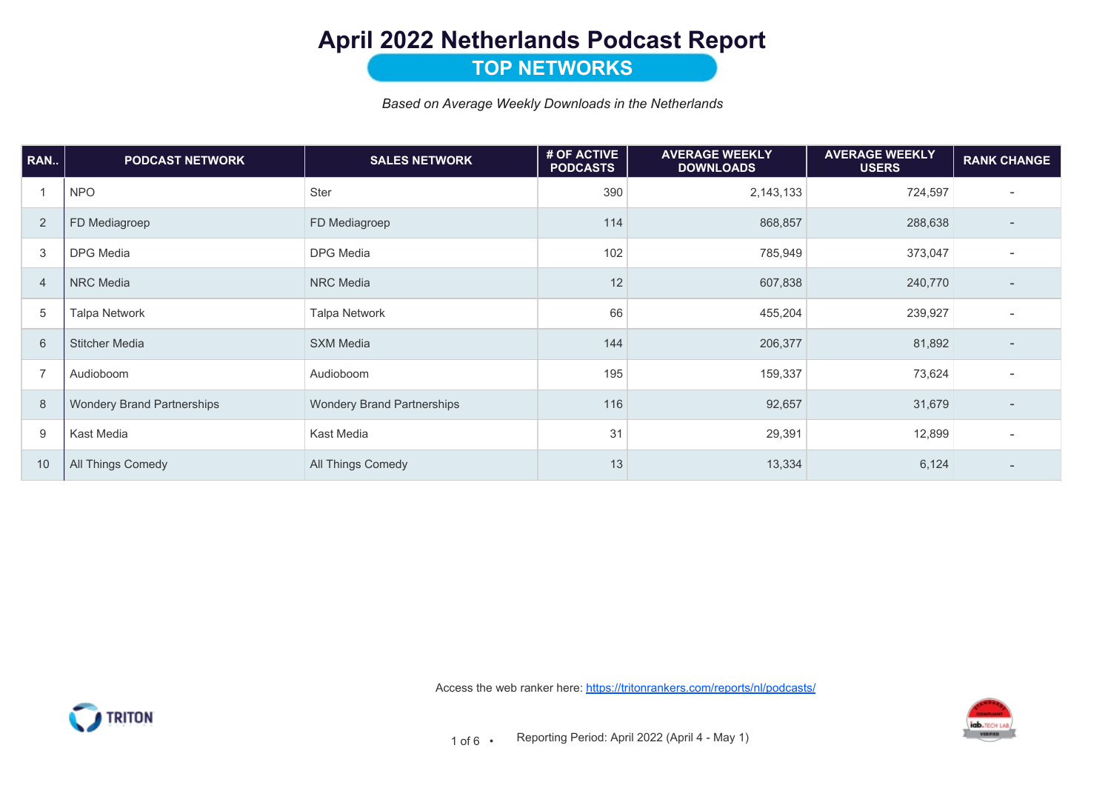# April 2022 Netherlands Podcast Report

### **TOP NETWORKS**

Based on Average Weekly Downloads in the Netherlands

| RAN            | <b>PODCAST NETWORK</b>            | <b>SALES NETWORK</b>              | # OF ACTIVE<br><b>PODCASTS</b> | <b>AVERAGE WEEKLY</b><br><b>DOWNLOADS</b> | <b>AVERAGE WEEKLY</b><br><b>USERS</b> | <b>RANK CHANGE</b>       |
|----------------|-----------------------------------|-----------------------------------|--------------------------------|-------------------------------------------|---------------------------------------|--------------------------|
|                | <b>NPO</b>                        | Ster                              | 390                            | 2,143,133                                 | 724,597                               | $\overline{\phantom{a}}$ |
| 2              | FD Mediagroep                     | FD Mediagroep                     | 114                            | 868,857                                   | 288,638                               |                          |
| 3              | DPG Media                         | <b>DPG</b> Media                  | 102                            | 785,949                                   | 373,047                               |                          |
| 4              | NRC Media                         | <b>NRC</b> Media                  | 12                             | 607,838                                   | 240,770                               |                          |
| 5              | Talpa Network                     | <b>Talpa Network</b>              | 66                             | 455,204                                   | 239,927                               |                          |
| 6              | <b>Stitcher Media</b>             | <b>SXM Media</b>                  | 144                            | 206,377                                   | 81,892                                | $\overline{\phantom{a}}$ |
| $\overline{7}$ | Audioboom                         | Audioboom                         | 195                            | 159,337                                   | 73,624                                | $\overline{\phantom{0}}$ |
| 8              | <b>Wondery Brand Partnerships</b> | <b>Wondery Brand Partnerships</b> | 116                            | 92,657                                    | 31,679                                | $\overline{\phantom{a}}$ |
| 9              | Kast Media                        | Kast Media                        | 31                             | 29,391                                    | 12,899                                |                          |
| 10             | All Things Comedy                 | All Things Comedy                 | 13                             | 13,334                                    | 6,124                                 |                          |

Access the web ranker here: https://tritonrankers.com/reports/nl/podcasts/



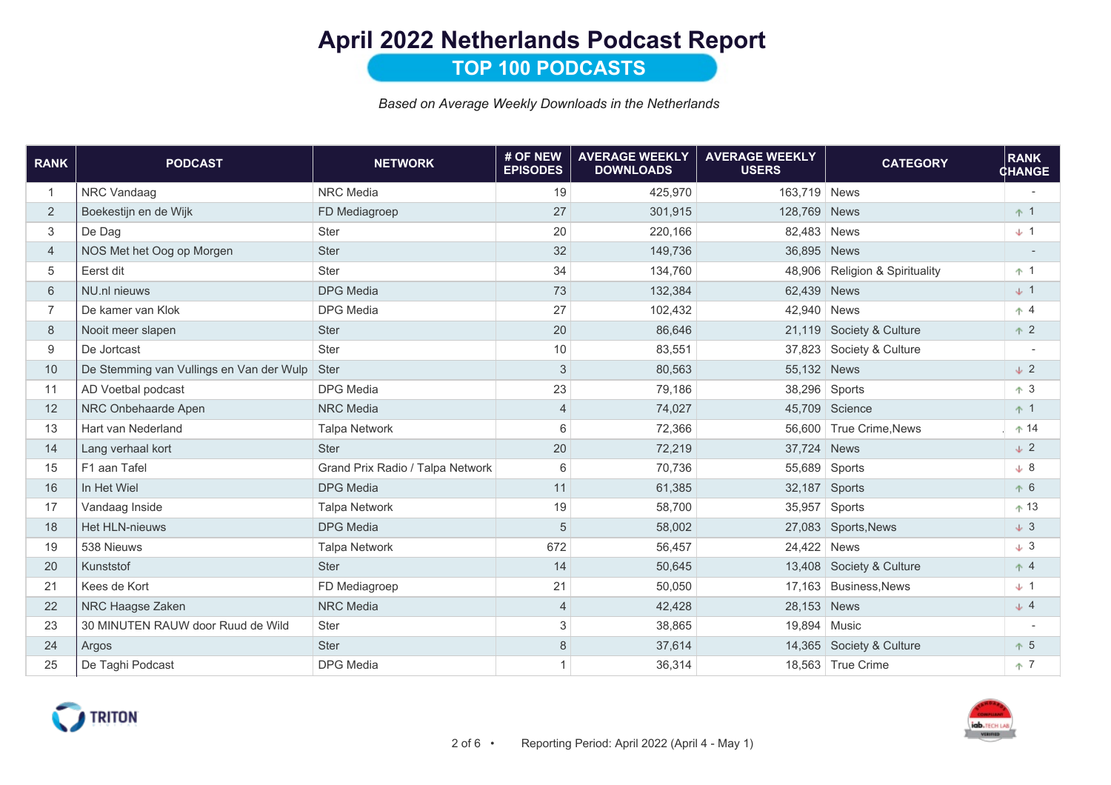# April 2022 Netherlands Podcast Report

### **TOP 100 PODCASTS**

Based on Average Weekly Downloads in the Netherlands

| <b>RANK</b>    | <b>PODCAST</b>                                | <b>NETWORK</b>                   | # OF NEW<br><b>EPISODES</b> | <b>AVERAGE WEEKLY</b><br><b>DOWNLOADS</b> | <b>AVERAGE WEEKLY</b><br><b>USERS</b> | <b>CATEGORY</b>                    | <b>RANK</b><br><b>CHANGE</b> |
|----------------|-----------------------------------------------|----------------------------------|-----------------------------|-------------------------------------------|---------------------------------------|------------------------------------|------------------------------|
| $\overline{1}$ | NRC Vandaag                                   | <b>NRC</b> Media                 | 19                          | 425,970                                   | 163,719 News                          |                                    |                              |
| 2              | Boekestijn en de Wijk                         | FD Mediagroep                    | 27                          | 301,915                                   | 128,769                               | <b>News</b>                        | $+1$                         |
| 3              | De Dag                                        | <b>Ster</b>                      | 20                          | 220,166                                   | 82,483 News                           |                                    | $+1$                         |
| $\overline{4}$ | NOS Met het Oog op Morgen                     | <b>Ster</b>                      | 32                          | 149,736                                   | 36,895                                | <b>News</b>                        |                              |
| 5              | Eerst dit                                     | <b>Ster</b>                      | 34                          | 134,760                                   | 48,906                                | <b>Religion &amp; Spirituality</b> | $+1$                         |
| 6              | NU.nl nieuws                                  | <b>DPG</b> Media                 | 73                          | 132,384                                   | 62,439 News                           |                                    | $+1$                         |
| $\overline{7}$ | De kamer van Klok                             | <b>DPG</b> Media                 | 27                          | 102,432                                   | 42,940                                | <b>News</b>                        | $+4$                         |
| 8              | Nooit meer slapen                             | Ster                             | 20                          | 86,646                                    | 21,119                                | Society & Culture                  | $+2$                         |
| 9              | De Jortcast                                   | Ster                             | 10                          | 83,551                                    |                                       | 37,823 Society & Culture           |                              |
| 10             | De Stemming van Vullings en Van der Wulp Ster |                                  | 3                           | 80,563                                    | 55,132 News                           |                                    | $\downarrow$ 2               |
| 11             | AD Voetbal podcast                            | <b>DPG</b> Media                 | 23                          | 79,186                                    | 38,296                                | Sports                             | $+3$                         |
| 12             | NRC Onbehaarde Apen                           | <b>NRC</b> Media                 | $\overline{4}$              | 74,027                                    |                                       | 45,709 Science                     | $+1$                         |
| 13             | Hart van Nederland                            | <b>Talpa Network</b>             | 6                           | 72,366                                    |                                       | 56,600 True Crime, News            | $+14$                        |
| 14             | Lang verhaal kort                             | <b>Ster</b>                      | 20                          | 72,219                                    | 37,724 News                           |                                    | $\downarrow$ 2               |
| 15             | F1 aan Tafel                                  | Grand Prix Radio / Talpa Network | 6                           | 70,736                                    | 55,689                                | Sports                             | $\downarrow$ 8               |
| 16             | In Het Wiel                                   | <b>DPG</b> Media                 | 11                          | 61,385                                    | 32,187                                | Sports                             | $+6$                         |
| 17             | Vandaag Inside                                | <b>Talpa Network</b>             | 19                          | 58,700                                    |                                       | 35,957 Sports                      | $+13$                        |
| 18             | <b>Het HLN-nieuws</b>                         | <b>DPG</b> Media                 | 5                           | 58,002                                    |                                       | 27,083 Sports, News                | $\downarrow$ 3               |
| 19             | 538 Nieuws                                    | <b>Talpa Network</b>             | 672                         | 56,457                                    | 24,422 News                           |                                    | $\downarrow$ 3               |
| 20             | Kunststof                                     | <b>Ster</b>                      | 14                          | 50,645                                    |                                       | 13,408 Society & Culture           | $+4$                         |
| 21             | Kees de Kort                                  | FD Mediagroep                    | 21                          | 50,050                                    |                                       | 17,163 Business, News              | $+1$                         |
| 22             | NRC Haagse Zaken                              | <b>NRC</b> Media                 | 4                           | 42,428                                    | 28,153                                | <b>News</b>                        | $\downarrow$ 4               |
| 23             | 30 MINUTEN RAUW door Ruud de Wild             | Ster                             | 3                           | 38,865                                    | 19,894 Music                          |                                    |                              |
| 24             | Argos                                         | <b>Ster</b>                      | 8                           | 37,614                                    |                                       | 14,365 Society & Culture           | $+5$                         |
| 25             | De Taghi Podcast                              | <b>DPG</b> Media                 |                             | 36,314                                    |                                       | 18,563 True Crime                  | $+7$                         |



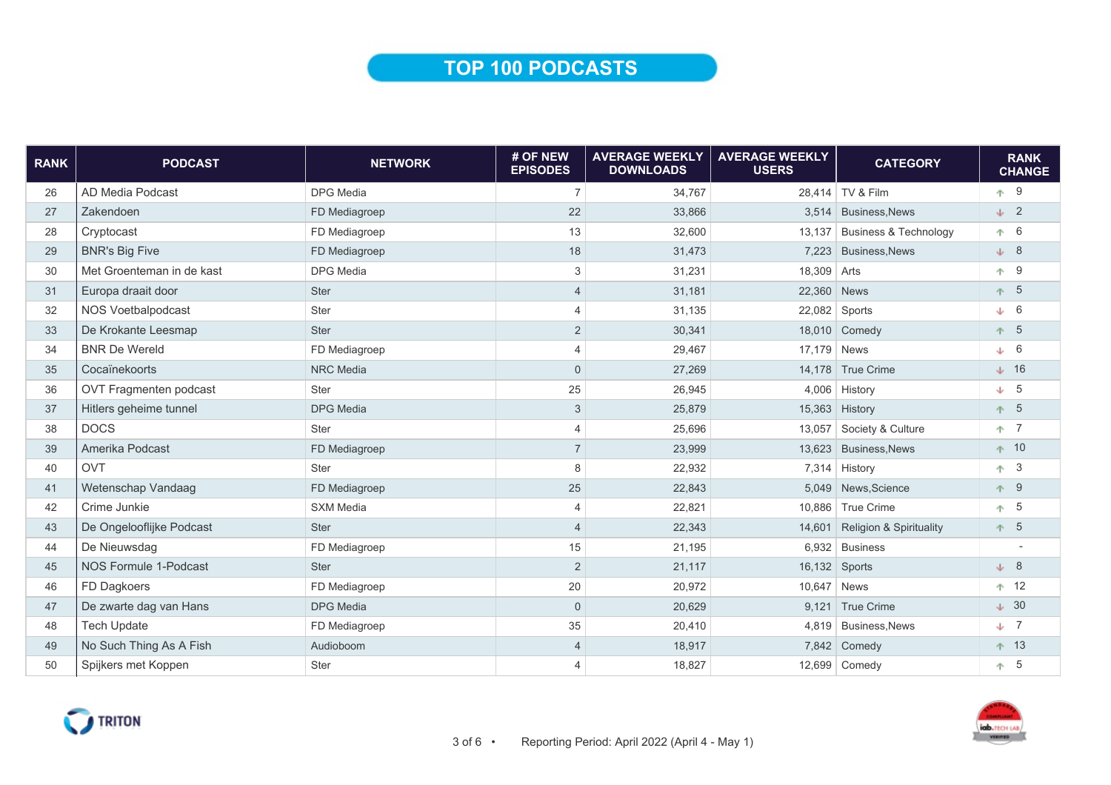### TOP 100 PODCASTS

| <b>RANK</b> | <b>PODCAST</b>            | <b>NETWORK</b>   | # OF NEW<br><b>EPISODES</b> | <b>AVERAGE WEEKLY</b><br><b>DOWNLOADS</b> | <b>AVERAGE WEEKLY</b><br><b>USERS</b> | <b>CATEGORY</b>                    | <b>RANK</b><br><b>CHANGE</b> |
|-------------|---------------------------|------------------|-----------------------------|-------------------------------------------|---------------------------------------|------------------------------------|------------------------------|
| 26          | AD Media Podcast          | <b>DPG</b> Media | $\overline{7}$              | 34,767                                    |                                       | 28,414 TV & Film                   | $+9$                         |
| 27          | Zakendoen                 | FD Mediagroep    | 22                          | 33,866                                    |                                       | 3,514 Business, News               | $\downarrow$ 2               |
| 28          | Cryptocast                | FD Mediagroep    | 13                          | 32,600                                    | 13.137                                | <b>Business &amp; Technology</b>   | $\uparrow$ 6                 |
| 29          | <b>BNR's Big Five</b>     | FD Mediagroep    | 18                          | 31,473                                    | 7,223                                 | <b>Business, News</b>              | $\downarrow$ 8               |
| 30          | Met Groenteman in de kast | <b>DPG</b> Media | 3                           | 31,231                                    | 18,309 Arts                           |                                    | $+9$                         |
| 31          | Europa draait door        | Ster             | $\overline{4}$              | 31.181                                    | 22,360 News                           |                                    | 5<br>不。                      |
| 32          | NOS Voetbalpodcast        | Ster             | $\overline{4}$              | 31,135                                    | 22,082 Sports                         |                                    | $\downarrow$ 6               |
| 33          | De Krokante Leesmap       | <b>Ster</b>      | $\overline{2}$              | 30,341                                    |                                       | 18,010 Comedy                      | $+ 5$                        |
| 34          | <b>BNR De Wereld</b>      | FD Mediagroep    | $\overline{4}$              | 29,467                                    | 17,179 News                           |                                    | $\downarrow$ 6               |
| 35          | Cocaïnekoorts             | <b>NRC</b> Media | $\mathbf{0}$                | 27,269                                    |                                       | 14,178 True Crime                  | $\downarrow$ 16              |
| 36          | OVT Fragmenten podcast    | Ster             | 25                          | 26,945                                    |                                       | 4,006 History                      | $\downarrow$ 5               |
| 37          | Hitlers geheime tunnel    | <b>DPG Media</b> | 3                           | 25,879                                    |                                       | 15,363 History                     | $+ 5$                        |
| 38          | <b>DOCS</b>               | Ster             | $\overline{4}$              | 25,696                                    |                                       | 13,057 Society & Culture           | $+ 7$                        |
| 39          | Amerika Podcast           | FD Mediagroep    | $\overline{7}$              | 23,999                                    |                                       | 13,623 Business, News              | $+ 10$                       |
| 40          | <b>OVT</b>                | Ster             | 8                           | 22,932                                    |                                       | $7,314$ History                    | $\overline{3}$<br>不          |
| 41          | Wetenschap Vandaag        | FD Mediagroep    | 25                          | 22,843                                    |                                       | 5,049 News, Science                | $+ 9$                        |
| 42          | Crime Junkie              | <b>SXM Media</b> | $\overline{4}$              | 22,821                                    |                                       | 10,886 True Crime                  | $+5$                         |
| 43          | De Ongelooflijke Podcast  | <b>Ster</b>      | $\overline{4}$              | 22,343                                    | 14,601                                | <b>Religion &amp; Spirituality</b> | $+ 5$                        |
| 44          | De Nieuwsdag              | FD Mediagroep    | 15                          | 21,195                                    |                                       | $6,932$ Business                   |                              |
| 45          | NOS Formule 1-Podcast     | Ster             | $\overline{2}$              | 21,117                                    | 16,132 Sports                         |                                    | $\downarrow$ 8               |
| 46          | FD Dagkoers               | FD Mediagroep    | 20                          | 20,972                                    | 10,647 News                           |                                    | $+ 12$                       |
| 47          | De zwarte dag van Hans    | <b>DPG Media</b> | $\Omega$                    | 20,629                                    |                                       | 9,121 True Crime                   | $\downarrow$ 30              |
| 48          | <b>Tech Update</b>        | FD Mediagroep    | 35                          | 20,410                                    |                                       | 4,819 Business, News               | $\downarrow$ 7               |
| 49          | No Such Thing As A Fish   | Audioboom        | $\overline{4}$              | 18,917                                    |                                       | 7,842 Comedy                       | $+ 13$                       |
| 50          | Spijkers met Koppen       | Ster             | $\overline{4}$              | 18,827                                    |                                       | 12,699 Comedy                      | $\uparrow$ 5                 |



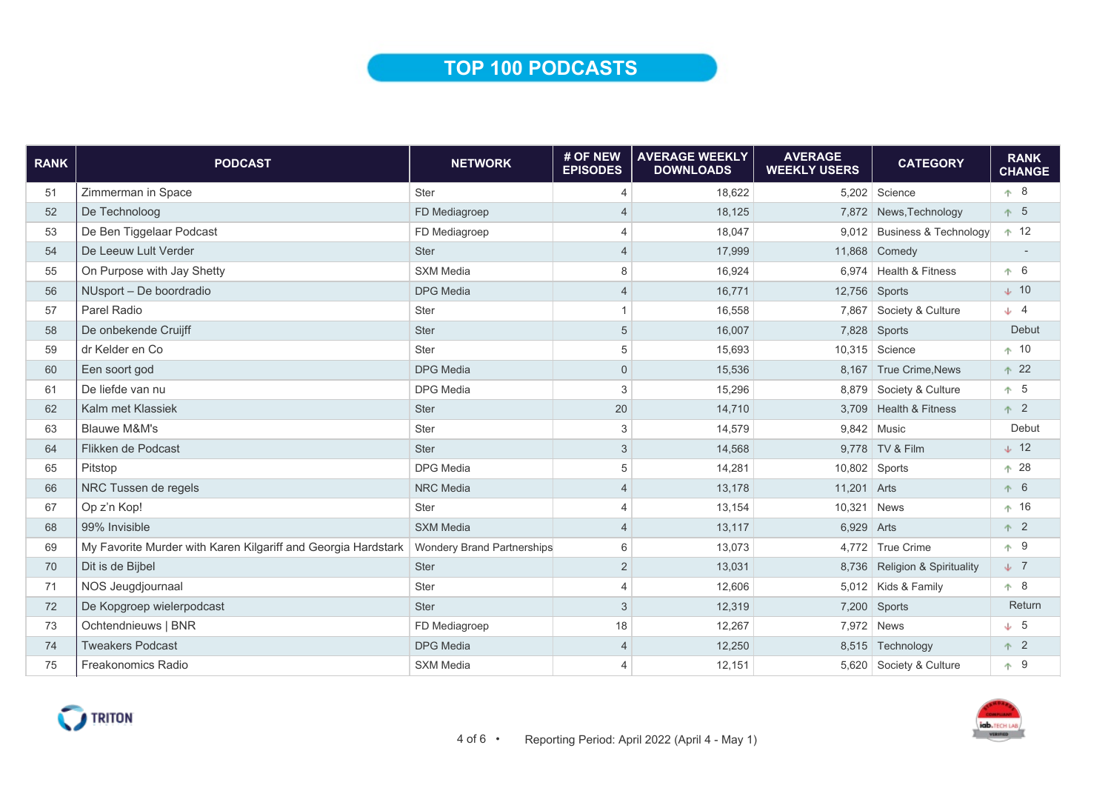## TOP 100 PODCASTS

| <b>RANK</b> | <b>PODCAST</b>                                                | <b>NETWORK</b>                    | # OF NEW<br><b>EPISODES</b> | <b>AVERAGE WEEKLY</b><br><b>DOWNLOADS</b> | <b>AVERAGE</b><br><b>WEEKLY USERS</b> | <b>CATEGORY</b>               | <b>RANK</b><br><b>CHANGE</b> |
|-------------|---------------------------------------------------------------|-----------------------------------|-----------------------------|-------------------------------------------|---------------------------------------|-------------------------------|------------------------------|
| 51          | Zimmerman in Space                                            | <b>Ster</b>                       | $\overline{4}$              | 18,622                                    |                                       | 5,202 Science                 | 个 8                          |
| 52          | De Technoloog                                                 | FD Mediagroep                     | $\overline{4}$              | 18,125                                    |                                       | 7,872 News, Technology        | $+ 5$                        |
| 53          | De Ben Tiggelaar Podcast                                      | FD Mediagroep                     | $\overline{4}$              | 18,047                                    |                                       | 9,012 Business & Technology   | ↑ 12                         |
| 54          | De Leeuw Lult Verder                                          | <b>Ster</b>                       | $\overline{4}$              | 17,999                                    |                                       | 11,868 Comedy                 |                              |
| 55          | On Purpose with Jay Shetty                                    | <b>SXM Media</b>                  | 8                           | 16,924                                    |                                       | 6,974   Health & Fitness      | $+ 6$                        |
| 56          | NUsport - De boordradio                                       | <b>DPG</b> Media                  | $\overline{4}$              | 16.771                                    |                                       | 12,756 Sports                 | $\downarrow$ 10              |
| 57          | Parel Radio                                                   | Ster                              | $\mathbf{1}$                | 16,558                                    | 7,867                                 | Society & Culture             | $\downarrow$ 4               |
| 58          | De onbekende Cruijff                                          | <b>Ster</b>                       | $\sqrt{5}$                  | 16,007                                    |                                       | 7,828 Sports                  | Debut                        |
| 59          | dr Kelder en Co                                               | Ster                              | 5                           | 15,693                                    |                                       | 10,315 Science                | $+10$                        |
| 60          | Een soort god                                                 | <b>DPG Media</b>                  | $\mathbf{0}$                | 15,536                                    |                                       | 8,167 True Crime, News        | $+22$                        |
| 61          | De liefde van nu                                              | <b>DPG</b> Media                  | 3                           | 15,296                                    |                                       | 8,879 Society & Culture       | $+ 5$                        |
| 62          | Kalm met Klassiek                                             | Ster                              | 20                          | 14,710                                    |                                       | 3,709 Health & Fitness        | $+2$                         |
| 63          | <b>Blauwe M&amp;M's</b>                                       | Ster                              | 3                           | 14,579                                    |                                       | 9.842 Music                   | Debut                        |
| 64          | Flikken de Podcast                                            | Ster                              | 3                           | 14,568                                    |                                       | 9.778 TV & Film               | $\downarrow$ 12              |
| 65          | Pitstop                                                       | <b>DPG</b> Media                  | 5                           | 14,281                                    |                                       | $10,802$ Sports               | $+28$                        |
| 66          | NRC Tussen de regels                                          | <b>NRC</b> Media                  | $\overline{4}$              | 13,178                                    | 11,201 Arts                           |                               | $+ 6$                        |
| 67          | Op z'n Kop!                                                   | Ster                              | $\overline{4}$              | 13,154                                    | 10,321                                | <b>News</b>                   | ↑ 16                         |
| 68          | 99% Invisible                                                 | <b>SXM Media</b>                  | $\overline{4}$              | 13,117                                    | 6,929 Arts                            |                               | $+2$                         |
| 69          | My Favorite Murder with Karen Kilgariff and Georgia Hardstark | <b>Wondery Brand Partnerships</b> | 6                           | 13,073                                    |                                       | 4,772 True Crime              | ↑ 9                          |
| 70          | Dit is de Bijbel                                              | Ster                              | $\overline{2}$              | 13,031                                    |                                       | 8,736 Religion & Spirituality | $\downarrow$ 7               |
| 71          | <b>NOS Jeugdjournaal</b>                                      | Ster                              | $\overline{4}$              | 12,606                                    |                                       | 5,012 Kids & Family           | ↑ 8                          |
| 72          | De Kopgroep wielerpodcast                                     | <b>Ster</b>                       | $\sqrt{3}$                  | 12,319                                    |                                       | 7,200 Sports                  | Return                       |
| 73          | Ochtendnieuws   BNR                                           | FD Mediagroep                     | 18                          | 12,267                                    |                                       | 7,972 News                    | $\downarrow$ 5               |
| 74          | <b>Tweakers Podcast</b>                                       | <b>DPG</b> Media                  | $\overline{4}$              | 12,250                                    |                                       | 8,515 Technology              | $+2$                         |
| 75          | Freakonomics Radio                                            | <b>SXM Media</b>                  | $\overline{4}$              | 12,151                                    |                                       | 5,620 Society & Culture       | $+9$                         |



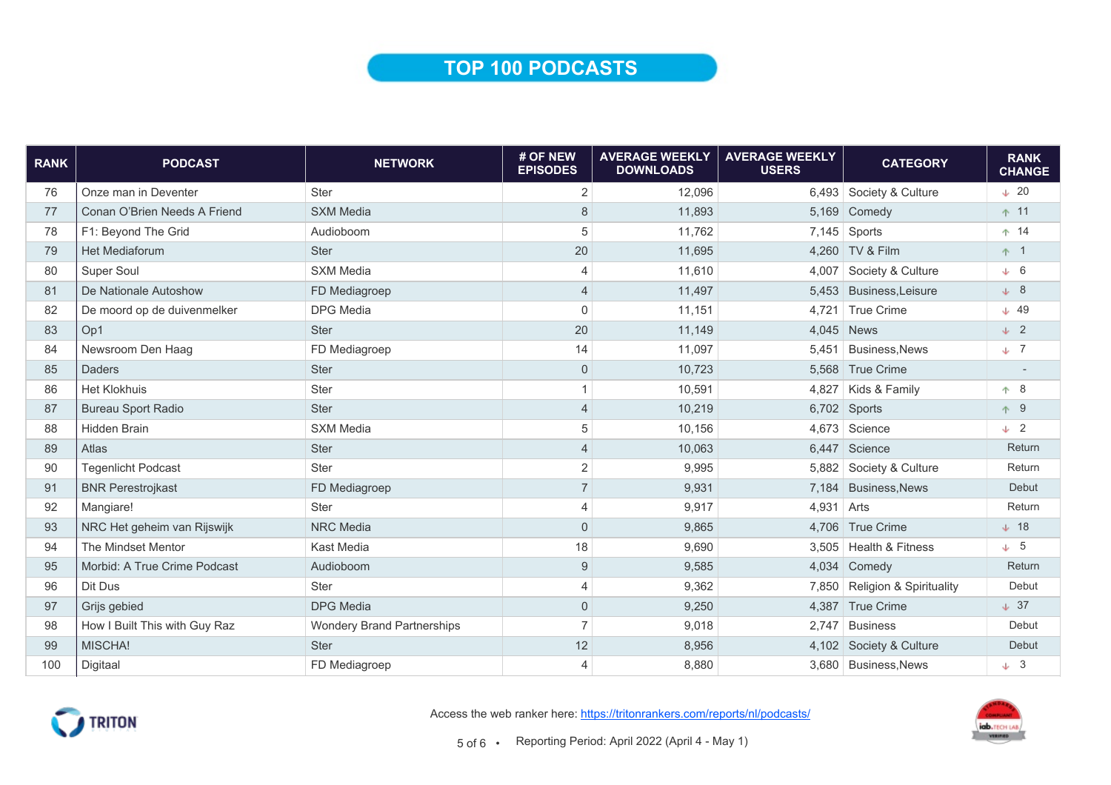### TOP 100 PODCASTS

| <b>RANK</b> | <b>PODCAST</b>                | <b>NETWORK</b>                    | # OF NEW<br><b>EPISODES</b> | <b>AVERAGE WEEKLY</b><br><b>DOWNLOADS</b> | <b>AVERAGE WEEKLY</b><br><b>USERS</b> | <b>CATEGORY</b>               | <b>RANK</b><br><b>CHANGE</b> |
|-------------|-------------------------------|-----------------------------------|-----------------------------|-------------------------------------------|---------------------------------------|-------------------------------|------------------------------|
| 76          | Onze man in Deventer          | <b>Ster</b>                       | $\overline{c}$              | 12,096                                    |                                       | 6,493 Society & Culture       | $\div$ 20                    |
| 77          | Conan O'Brien Needs A Friend  | <b>SXM Media</b>                  | 8                           | 11,893                                    |                                       | $5,169$ Comedy                | ↑ 11                         |
| 78          | F1: Beyond The Grid           | Audioboom                         | 5                           | 11,762                                    |                                       | $7,145$ Sports                | $+ 14$                       |
| 79          | Het Mediaforum                | Ster                              | 20                          | 11,695                                    |                                       | 4,260 TV & Film               | $+1$                         |
| 80          | <b>Super Soul</b>             | <b>SXM Media</b>                  | $\overline{4}$              | 11,610                                    |                                       | 4,007 Society & Culture       | $\downarrow$ 6               |
| 81          | De Nationale Autoshow         | FD Mediagroep                     | $\overline{4}$              | 11,497                                    |                                       | 5,453 Business, Leisure       | $+8$                         |
| 82          | De moord op de duivenmelker   | <b>DPG</b> Media                  | $\mathsf{O}\xspace$         | 11,151                                    | 4,721                                 | <b>True Crime</b>             | $+ 49$                       |
| 83          | Op1                           | <b>Ster</b>                       | 20                          | 11,149                                    |                                       | 4,045 News                    | $\downarrow$ 2               |
| 84          | Newsroom Den Haag             | FD Mediagroep                     | 14                          | 11,097                                    | 5.451                                 | <b>Business, News</b>         | $\sqrt{7}$                   |
| 85          | <b>Daders</b>                 | <b>Ster</b>                       | $\mathbf 0$                 | 10,723                                    |                                       | 5.568 True Crime              |                              |
| 86          | <b>Het Klokhuis</b>           | Ster                              | 1                           | 10,591                                    |                                       | $4,827$ Kids & Family         | $+8$                         |
| 87          | <b>Bureau Sport Radio</b>     | <b>Ster</b>                       | $\overline{4}$              | 10,219                                    |                                       | 6,702 Sports                  | ↑ 9                          |
| 88          | <b>Hidden Brain</b>           | <b>SXM Media</b>                  | 5                           | 10,156                                    |                                       | 4.673 Science                 | $\downarrow$ 2               |
| 89          | Atlas                         | <b>Ster</b>                       | $\overline{4}$              | 10,063                                    |                                       | 6,447 Science                 | Return                       |
| 90          | <b>Tegenlicht Podcast</b>     | <b>Ster</b>                       | $\overline{c}$              | 9,995                                     |                                       | 5,882 Society & Culture       | Return                       |
| 91          | <b>BNR Perestrojkast</b>      | FD Mediagroep                     | $\overline{7}$              | 9,931                                     |                                       | 7,184 Business, News          | Debut                        |
| 92          | Mangiare!                     | <b>Ster</b>                       | 4                           | 9,917                                     | $4,931$ Arts                          |                               | Return                       |
| 93          | NRC Het geheim van Rijswijk   | <b>NRC</b> Media                  | $\mathsf{O}\xspace$         | 9,865                                     |                                       | 4,706 True Crime              | $\perp$ 18                   |
| 94          | The Mindset Mentor            | Kast Media                        | 18                          | 9,690                                     |                                       | 3,505 Health & Fitness        | $\downarrow$ 5               |
| 95          | Morbid: A True Crime Podcast  | Audioboom                         | $9\,$                       | 9,585                                     |                                       | 4,034 Comedy                  | Return                       |
| 96          | Dit Dus                       | Ster                              | $\overline{4}$              | 9,362                                     |                                       | 7,850 Religion & Spirituality | Debut                        |
| 97          | Grijs gebied                  | <b>DPG</b> Media                  | $\mathsf{O}\xspace$         | 9,250                                     |                                       | 4,387 True Crime              | $\downarrow$ 37              |
| 98          | How I Built This with Guy Raz | <b>Wondery Brand Partnerships</b> | $\overline{7}$              | 9,018                                     | 2,747                                 | <b>Business</b>               | Debut                        |
| 99          | MISCHA!                       | <b>Ster</b>                       | 12                          | 8,956                                     |                                       | 4,102 Society & Culture       | Debut                        |
| 100         | Digitaal                      | FD Mediagroep                     | $\overline{4}$              | 8,880                                     |                                       | 3,680 Business, News          | $\downarrow$ 3               |



Access the web ranker here: https://tritonrankers.com/reports/nl/podcasts/